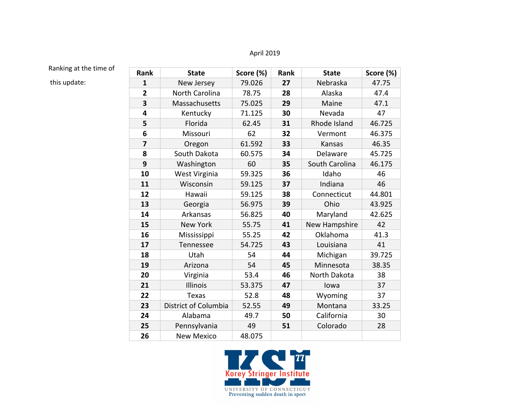## April 2019

## Ranking at the time of

this update:

| Rank           | <b>State</b>         | Score (%) | Rank | <b>State</b>   | Score (%) |
|----------------|----------------------|-----------|------|----------------|-----------|
| $\mathbf{1}$   | New Jersey           | 79.026    | 27   | Nebraska       | 47.75     |
| $\overline{2}$ | North Carolina       | 78.75     | 28   | Alaska         | 47.4      |
| 3              | Massachusetts        | 75.025    | 29   | Maine          | 47.1      |
| 4              | Kentucky             | 71.125    | 30   | Nevada         | 47        |
| 5              | Florida              | 62.45     | 31   | Rhode Island   | 46.725    |
| 6              | Missouri             | 62        | 32   | Vermont        | 46.375    |
| $\overline{7}$ | Oregon               | 61.592    | 33   | Kansas         | 46.35     |
| 8              | South Dakota         | 60.575    | 34   | Delaware       | 45.725    |
| 9              | Washington           | 60        | 35   | South Carolina | 46.175    |
| 10             | West Virginia        | 59.325    | 36   | Idaho          | 46        |
| 11             | Wisconsin            | 59.125    | 37   | Indiana        | 46        |
| 12             | Hawaii               | 59.125    | 38   | Connecticut    | 44.801    |
| 13             | Georgia              | 56.975    | 39   | Ohio           | 43.925    |
| 14             | Arkansas             | 56.825    | 40   | Maryland       | 42.625    |
| 15             | <b>New York</b>      | 55.75     | 41   | New Hampshire  | 42        |
| 16             | Mississippi          | 55.25     | 42   | Oklahoma       | 41.3      |
| 17             | Tennessee            | 54.725    | 43   | Louisiana      | 41        |
| 18             | Utah                 | 54        | 44   | Michigan       | 39.725    |
| 19             | Arizona              | 54        | 45   | Minnesota      | 38.35     |
| 20             | Virginia             | 53.4      | 46   | North Dakota   | 38        |
| 21             | Illinois             | 53.375    | 47   | lowa           | 37        |
| 22             | <b>Texas</b>         | 52.8      | 48   | Wyoming        | 37        |
| 23             | District of Columbia | 52.55     | 49   | Montana        | 33.25     |
| 24             | Alabama              | 49.7      | 50   | California     | 30        |
| 25             | Pennsylvania         | 49        | 51   | Colorado       | 28        |
| 26             | <b>New Mexico</b>    | 48.075    |      |                |           |

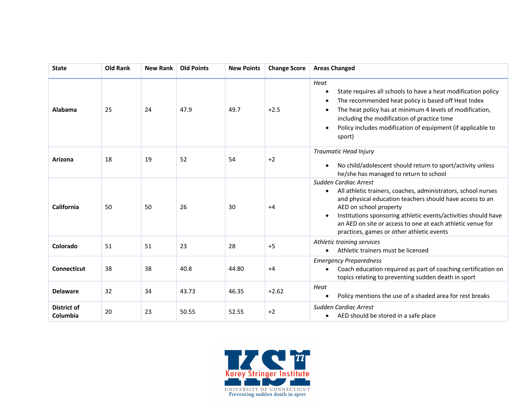| <b>State</b>                   | <b>Old Rank</b> | <b>New Rank</b> | <b>Old Points</b> | <b>New Points</b> | <b>Change Score</b> | <b>Areas Changed</b>                                                                                                                                                                                                                                                                                                                                      |
|--------------------------------|-----------------|-----------------|-------------------|-------------------|---------------------|-----------------------------------------------------------------------------------------------------------------------------------------------------------------------------------------------------------------------------------------------------------------------------------------------------------------------------------------------------------|
| Alabama                        | 25              | 24              | 47.9              | 49.7              | $+2.5$              | Heat<br>State requires all schools to have a heat modification policy<br>The recommended heat policy is based off Heat Index<br>The heat policy has at minimum 4 levels of modification,<br>$\bullet$<br>including the modification of practice time<br>Policy includes modification of equipment (if applicable to<br>sport)                             |
| Arizona                        | 18              | 19              | 52                | 54                | $+2$                | Traumatic Head Injury<br>No child/adolescent should return to sport/activity unless<br>$\bullet$<br>he/she has managed to return to school                                                                                                                                                                                                                |
| California                     | 50              | 50              | 26                | 30                | $+4$                | Sudden Cardiac Arrest<br>All athletic trainers, coaches, administrators, school nurses<br>and physical education teachers should have access to an<br>AED on school property<br>Institutions sponsoring athletic events/activities should have<br>an AED on site or access to one at each athletic venue for<br>practices, games or other athletic events |
| Colorado                       | 51              | 51              | 23                | 28                | $+5$                | Athletic training services<br>Athletic trainers must be licensed                                                                                                                                                                                                                                                                                          |
| <b>Connecticut</b>             | 38              | 38              | 40.8              | 44.80             | $+4$                | <b>Emergency Preparedness</b><br>Coach education required as part of coaching certification on<br>$\bullet$<br>topics relating to preventing sudden death in sport                                                                                                                                                                                        |
| <b>Delaware</b>                | 32              | 34              | 43.73             | 46.35             | $+2.62$             | Heat<br>Policy mentions the use of a shaded area for rest breaks                                                                                                                                                                                                                                                                                          |
| <b>District of</b><br>Columbia | 20              | 23              | 50.55             | 52.55             | $+2$                | Sudden Cardiac Arrest<br>AED should be stored in a safe place<br>٠                                                                                                                                                                                                                                                                                        |

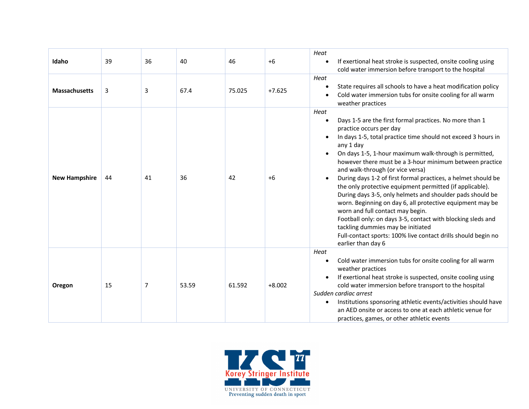| Idaho                | 39 | 36 | 40    | 46     | $+6$     | Heat<br>If exertional heat stroke is suspected, onsite cooling using<br>$\bullet$<br>cold water immersion before transport to the hospital                                                                                                                                                                                                                                                                                                                                                                                                                                                                                                                                                                                                                                                                                           |
|----------------------|----|----|-------|--------|----------|--------------------------------------------------------------------------------------------------------------------------------------------------------------------------------------------------------------------------------------------------------------------------------------------------------------------------------------------------------------------------------------------------------------------------------------------------------------------------------------------------------------------------------------------------------------------------------------------------------------------------------------------------------------------------------------------------------------------------------------------------------------------------------------------------------------------------------------|
| <b>Massachusetts</b> | 3  | 3  | 67.4  | 75.025 | $+7.625$ | Heat<br>State requires all schools to have a heat modification policy<br>$\bullet$<br>Cold water immersion tubs for onsite cooling for all warm<br>weather practices                                                                                                                                                                                                                                                                                                                                                                                                                                                                                                                                                                                                                                                                 |
| <b>New Hampshire</b> | 44 | 41 | 36    | 42     | $+6$     | Heat<br>Days 1-5 are the first formal practices. No more than 1<br>$\bullet$<br>practice occurs per day<br>In days 1-5, total practice time should not exceed 3 hours in<br>any 1 day<br>On days 1-5, 1-hour maximum walk-through is permitted,<br>however there must be a 3-hour minimum between practice<br>and walk-through (or vice versa)<br>During days 1-2 of first formal practices, a helmet should be<br>the only protective equipment permitted (if applicable).<br>During days 3-5, only helmets and shoulder pads should be<br>worn. Beginning on day 6, all protective equipment may be<br>worn and full contact may begin.<br>Football only: on days 3-5, contact with blocking sleds and<br>tackling dummies may be initiated<br>Full-contact sports: 100% live contact drills should begin no<br>earlier than day 6 |
| Oregon               | 15 | 7  | 53.59 | 61.592 | $+8.002$ | Heat<br>Cold water immersion tubs for onsite cooling for all warm<br>$\bullet$<br>weather practices<br>If exertional heat stroke is suspected, onsite cooling using<br>cold water immersion before transport to the hospital<br>Sudden cardiac arrest<br>Institutions sponsoring athletic events/activities should have<br>$\bullet$<br>an AED onsite or access to one at each athletic venue for<br>practices, games, or other athletic events                                                                                                                                                                                                                                                                                                                                                                                      |